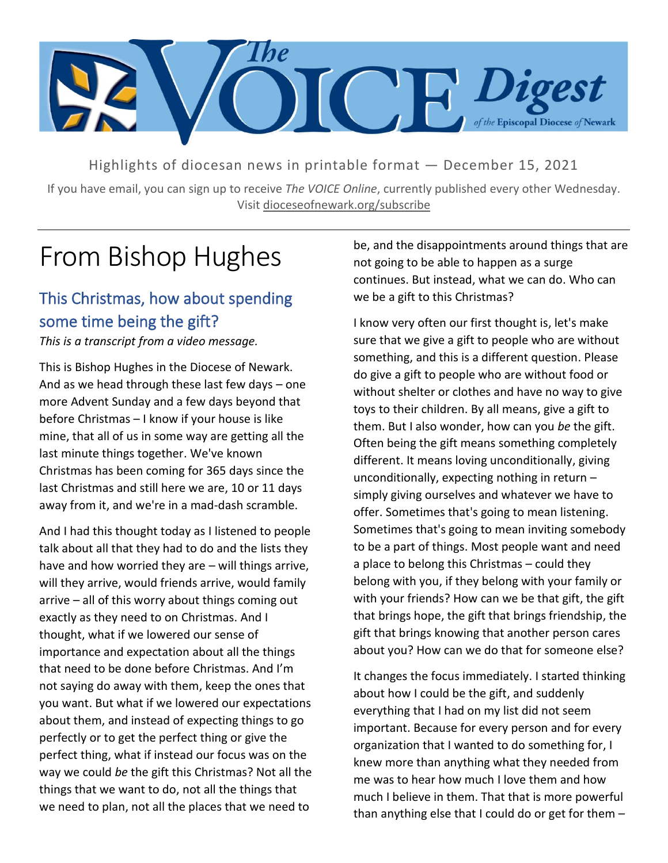

Highlights of diocesan news in printable format — December 15, 2021

If you have email, you can sign up to receive *The VOICE Online*, currently published every other Wednesday. Visit dioceseofnewark.org/subscribe

## From Bishop Hughes

#### This Christmas, how about spending some time being the gift?

*This is a transcript from a video message.*

This is Bishop Hughes in the Diocese of Newark. And as we head through these last few days – one more Advent Sunday and a few days beyond that before Christmas – I know if your house is like mine, that all of us in some way are getting all the last minute things together. We've known Christmas has been coming for 365 days since the last Christmas and still here we are, 10 or 11 days away from it, and we're in a mad-dash scramble.

And I had this thought today as I listened to people talk about all that they had to do and the lists they have and how worried they are – will things arrive, will they arrive, would friends arrive, would family arrive – all of this worry about things coming out exactly as they need to on Christmas. And I thought, what if we lowered our sense of importance and expectation about all the things that need to be done before Christmas. And I'm not saying do away with them, keep the ones that you want. But what if we lowered our expectations about them, and instead of expecting things to go perfectly or to get the perfect thing or give the perfect thing, what if instead our focus was on the way we could *be* the gift this Christmas? Not all the things that we want to do, not all the things that we need to plan, not all the places that we need to

be, and the disappointments around things that are not going to be able to happen as a surge continues. But instead, what we can do. Who can we be a gift to this Christmas?

I know very often our first thought is, let's make sure that we give a gift to people who are without something, and this is a different question. Please do give a gift to people who are without food or without shelter or clothes and have no way to give toys to their children. By all means, give a gift to them. But I also wonder, how can you *be* the gift. Often being the gift means something completely different. It means loving unconditionally, giving unconditionally, expecting nothing in return – simply giving ourselves and whatever we have to offer. Sometimes that's going to mean listening. Sometimes that's going to mean inviting somebody to be a part of things. Most people want and need a place to belong this Christmas – could they belong with you, if they belong with your family or with your friends? How can we be that gift, the gift that brings hope, the gift that brings friendship, the gift that brings knowing that another person cares about you? How can we do that for someone else?

It changes the focus immediately. I started thinking about how I could be the gift, and suddenly everything that I had on my list did not seem important. Because for every person and for every organization that I wanted to do something for, I knew more than anything what they needed from me was to hear how much I love them and how much I believe in them. That that is more powerful than anything else that I could do or get for them –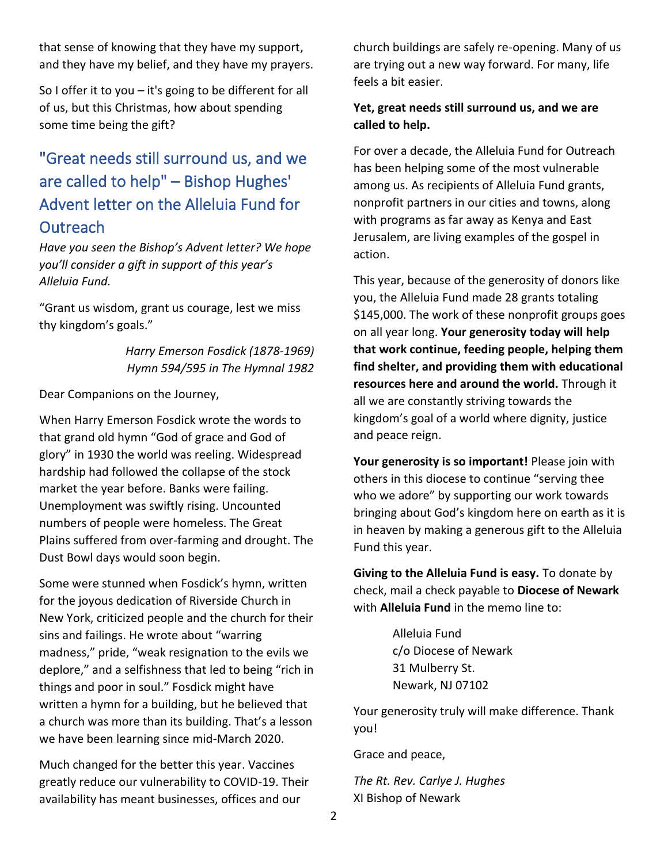that sense of knowing that they have my support, and they have my belief, and they have my prayers.

So I offer it to you  $-$  it's going to be different for all of us, but this Christmas, how about spending some time being the gift?

#### "Great needs still surround us, and we are called to help" – Bishop Hughes' Advent letter on the Alleluia Fund for **Outreach**

*Have you seen the Bishop's Advent letter? We hope you'll consider a gift in support of this year's Alleluia Fund.*

"Grant us wisdom, grant us courage, lest we miss thy kingdom's goals."

> *Harry Emerson Fosdick (1878-1969) Hymn 594/595 in The Hymnal 1982*

Dear Companions on the Journey,

When Harry Emerson Fosdick wrote the words to that grand old hymn "God of grace and God of glory" in 1930 the world was reeling. Widespread hardship had followed the collapse of the stock market the year before. Banks were failing. Unemployment was swiftly rising. Uncounted numbers of people were homeless. The Great Plains suffered from over-farming and drought. The Dust Bowl days would soon begin.

Some were stunned when Fosdick's hymn, written for the joyous dedication of Riverside Church in New York, criticized people and the church for their sins and failings. He wrote about "warring madness," pride, "weak resignation to the evils we deplore," and a selfishness that led to being "rich in things and poor in soul." Fosdick might have written a hymn for a building, but he believed that a church was more than its building. That's a lesson we have been learning since mid-March 2020.

Much changed for the better this year. Vaccines greatly reduce our vulnerability to COVID-19. Their availability has meant businesses, offices and our

church buildings are safely re-opening. Many of us are trying out a new way forward. For many, life feels a bit easier.

#### **Yet, great needs still surround us, and we are called to help.**

For over a decade, the Alleluia Fund for Outreach has been helping some of the most vulnerable among us. As recipients of Alleluia Fund grants, nonprofit partners in our cities and towns, along with programs as far away as Kenya and East Jerusalem, are living examples of the gospel in action.

This year, because of the generosity of donors like you, the Alleluia Fund made 28 grants totaling \$145,000. The work of these nonprofit groups goes on all year long. **Your generosity today will help that work continue, feeding people, helping them find shelter, and providing them with educational resources here and around the world.** Through it all we are constantly striving towards the kingdom's goal of a world where dignity, justice and peace reign.

**Your generosity is so important!** Please join with others in this diocese to continue "serving thee who we adore" by supporting our work towards bringing about God's kingdom here on earth as it is in heaven by making a generous gift to the Alleluia Fund this year.

**Giving to the Alleluia Fund is easy.** To donate by check, mail a check payable to **Diocese of Newark** with **Alleluia Fund** in the memo line to:

> Alleluia Fund c/o Diocese of Newark 31 Mulberry St. Newark, NJ 07102

Your generosity truly will make difference. Thank you!

Grace and peace,

*The Rt. Rev. Carlye J. Hughes* XI Bishop of Newark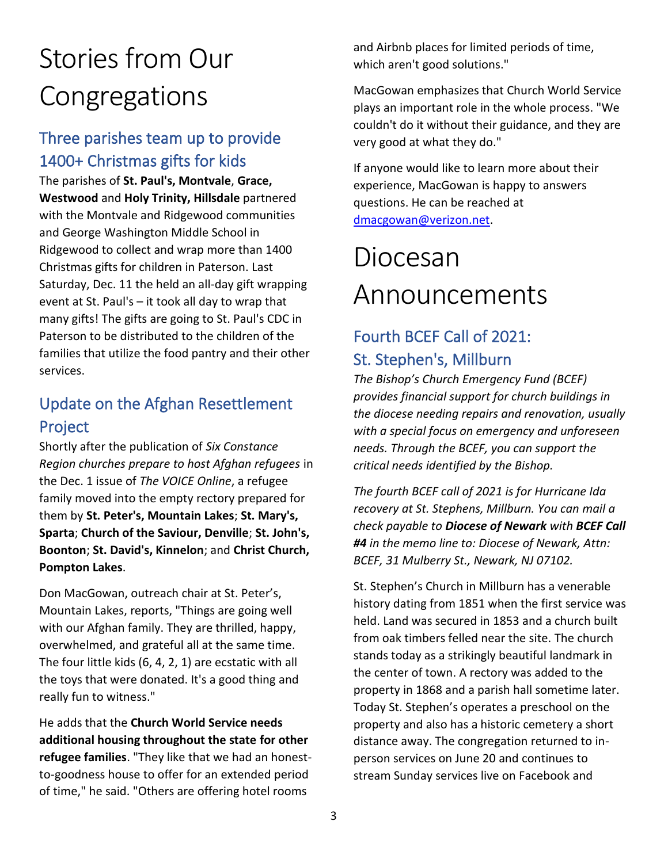# Stories from Our Congregations

#### Three parishes team up to provide 1400+ Christmas gifts for kids

The parishes of **St. Paul's, Montvale**, **Grace, Westwood** and **Holy Trinity, Hillsdale** partnered with the Montvale and Ridgewood communities and George Washington Middle School in Ridgewood to collect and wrap more than 1400 Christmas gifts for children in Paterson. Last Saturday, Dec. 11 the held an all-day gift wrapping event at St. Paul's – it took all day to wrap that many gifts! The gifts are going to St. Paul's CDC in Paterson to be distributed to the children of the families that utilize the food pantry and their other services.

#### Update on the Afghan Resettlement Project

Shortly after the publication of *Six Constance Region churches prepare to host Afghan refugees* in the Dec. 1 issue of *The VOICE Online*, a refugee family moved into the empty rectory prepared for them by **St. Peter's, Mountain Lakes**; **St. Mary's, Sparta**; **Church of the Saviour, Denville**; **St. John's, Boonton**; **St. David's, Kinnelon**; and **Christ Church, Pompton Lakes**.

Don MacGowan, outreach chair at St. Peter's, Mountain Lakes, reports, "Things are going well with our Afghan family. They are thrilled, happy, overwhelmed, and grateful all at the same time. The four little kids (6, 4, 2, 1) are ecstatic with all the toys that were donated. It's a good thing and really fun to witness."

He adds that the **Church World Service needs additional housing throughout the state for other refugee families**. "They like that we had an honestto-goodness house to offer for an extended period of time," he said. "Others are offering hotel rooms

and Airbnb places for limited periods of time, which aren't good solutions."

MacGowan emphasizes that Church World Service plays an important role in the whole process. "We couldn't do it without their guidance, and they are very good at what they do."

If anyone would like to learn more about their experience, MacGowan is happy to answers questions. He can be reached at [dmacgowan@verizon.net.](mailto:dmacgowan@verizon.net)

## Diocesan Announcements

### Fourth BCEF Call of 2021: St. Stephen's, Millburn

*The Bishop's Church Emergency Fund (BCEF) provides financial support for church buildings in the diocese needing repairs and renovation, usually with a special focus on emergency and unforeseen needs. Through the BCEF, you can support the critical needs identified by the Bishop.*

*The fourth BCEF call of 2021 is for Hurricane Ida recovery at St. Stephens, Millburn. You can mail a check payable to Diocese of Newark with BCEF Call #4 in the memo line to: Diocese of Newark, Attn: BCEF, 31 Mulberry St., Newark, NJ 07102.*

St. Stephen's Church in Millburn has a venerable history dating from 1851 when the first service was held. Land was secured in 1853 and a church built from oak timbers felled near the site. The church stands today as a strikingly beautiful landmark in the center of town. A rectory was added to the property in 1868 and a parish hall sometime later. Today St. Stephen's operates a preschool on the property and also has a historic cemetery a short distance away. The congregation returned to inperson services on June 20 and continues to stream Sunday services live on Facebook and